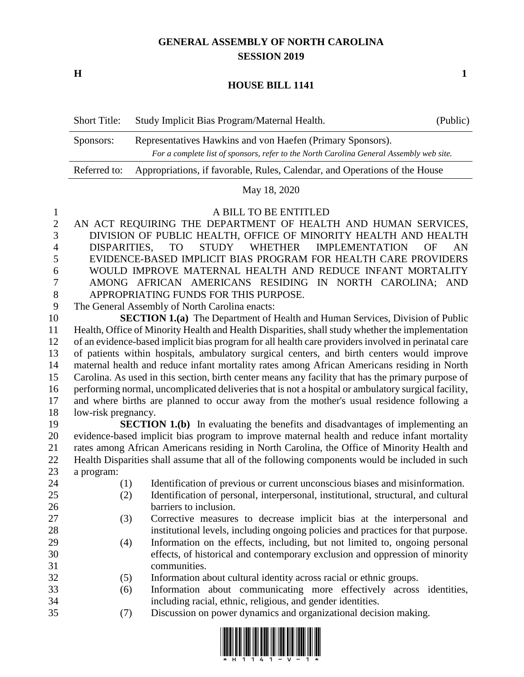## **GENERAL ASSEMBLY OF NORTH CAROLINA SESSION 2019**

**H 1**

## **HOUSE BILL 1141**

| <b>Short Title:</b> | Study Implicit Bias Program/Maternal Health.                                                                                                          | (Public) |
|---------------------|-------------------------------------------------------------------------------------------------------------------------------------------------------|----------|
| Sponsors:           | Representatives Hawkins and von Haefen (Primary Sponsors).<br>For a complete list of sponsors, refer to the North Carolina General Assembly web site. |          |
| Referred to:        | Appropriations, if favorable, Rules, Calendar, and Operations of the House                                                                            |          |

## May 18, 2020

1 A BILL TO BE ENTITLED<br>2 AN ACT REOUIRING THE DEPARTMENT OF HEALT AN ACT REQUIRING THE DEPARTMENT OF HEALTH AND HUMAN SERVICES, DIVISION OF PUBLIC HEALTH, OFFICE OF MINORITY HEALTH AND HEALTH DISPARITIES, TO STUDY WHETHER IMPLEMENTATION OF AN EVIDENCE-BASED IMPLICIT BIAS PROGRAM FOR HEALTH CARE PROVIDERS WOULD IMPROVE MATERNAL HEALTH AND REDUCE INFANT MORTALITY AMONG AFRICAN AMERICANS RESIDING IN NORTH CAROLINA; AND APPROPRIATING FUNDS FOR THIS PURPOSE.

The General Assembly of North Carolina enacts:

 **SECTION 1.(a)** The Department of Health and Human Services, Division of Public Health, Office of Minority Health and Health Disparities, shall study whether the implementation of an evidence-based implicit bias program for all health care providers involved in perinatal care of patients within hospitals, ambulatory surgical centers, and birth centers would improve maternal health and reduce infant mortality rates among African Americans residing in North Carolina. As used in this section, birth center means any facility that has the primary purpose of performing normal, uncomplicated deliveries that is not a hospital or ambulatory surgical facility, and where births are planned to occur away from the mother's usual residence following a low-risk pregnancy.

 **SECTION 1.(b)** In evaluating the benefits and disadvantages of implementing an evidence-based implicit bias program to improve maternal health and reduce infant mortality rates among African Americans residing in North Carolina, the Office of Minority Health and Health Disparities shall assume that all of the following components would be included in such a program:

- (1) Identification of previous or current unconscious biases and misinformation. (2) Identification of personal, interpersonal, institutional, structural, and cultural barriers to inclusion. (3) Corrective measures to decrease implicit bias at the interpersonal and institutional levels, including ongoing policies and practices for that purpose. (4) Information on the effects, including, but not limited to, ongoing personal
- effects, of historical and contemporary exclusion and oppression of minority communities.
- (5) Information about cultural identity across racial or ethnic groups.
- (6) Information about communicating more effectively across identities, including racial, ethnic, religious, and gender identities.
- (7) Discussion on power dynamics and organizational decision making.